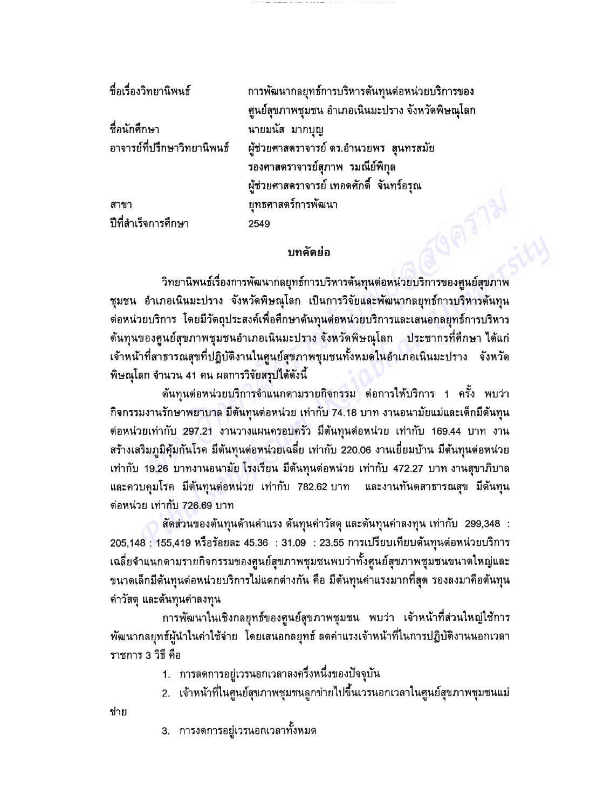ชื่อเรื่องวิทยานิพนธ์ การพัฒนากลยุทธ์การบริหารต้นทุนต่อหน่วยบริการของ ศูนย์สุขภาพชุมชน อำเภอเนินมะปราง จังหวัดพิษณุโลก ชื่อนักศึกษา นายมนัส มากบุญ อาจารย์ที่ปรึกษาวิทยานิพนธ์ ผู้ช่วยศาสตราจารย์ ดร.อำนวยพร สุนทรสมัย รองศาสตราจารย์สุภาพ รมณีย์พิกุล ผู้ช่วยศาสตราจารย์ เทอดศักดิ์ จันทร์อรุณ ยุทธศาสตร์การพัฒนา สาขา ปีที่สำเร็จการศึกษา 2549

## **าเทดัตย่**ถ

วิทยานิพนธ์เรื่องการพัฒนากลยุทธ์การบริหารต้นทุนต่อหน่วยบริการของศูนย์สุขภาพ ชุมชน อำเภอเนินมะปราง จังหวัดพิษณุโลก เป็นการวิจัยและพัฒนากลยุทธ์การบริหารต้นทุน ต่อหน่วยบริการ โดยมีวัตถุประสงค์เพื่อศึกษาต้นทุนต่อหน่วยบริการและเสนอกลยุทธ์การบริหาร ด้นทุนของศูนย์สุขภาพชุมชนอำเภอเนินมะปราง จังหวัดพิษณุโลก ประชากรที่ศึกษา ได้แก่ ้เจ้าหน้าที่สาธารณสุขที่ปฏิบัติงานในศูนย์สุขภาพชุมชนทั้งหมดในอำเภอเนินมะปราง จังหวัด ้พิษณุโลก จำนวน 41 คน ผลการวิจัยสรุปได้ดังนี้

์ต้นทุนต่อหน่วยบริการจำแนกตามรายกิจกรรม ต่อการให้บริการ 1 ครั้ง พบว่า กิจกรรมงานรักษาพยาบาล มีต้นทุนต่อหน่วย เท่ากับ 74.18 บาท งานอนามัยแม่และเด็กมีต้นทุน ต่อหน่วยเท่ากับ 297.21 งานวางแผนครอบครัว มีต้นทุนต่อหน่วย เท่ากับ 169.44 บาท งาน สร้างเสริมภูมิคุ้มกันโรค มีต้นทุนต่อหน่วยเฉลี่ย เท่ากับ 220.06 งานเยี่ยมบ้าน มีต้นทุนต่อหน่วย เท่ากับ 19.26 บาทงานอนามัย โรงเรียน มีต้นทุนต่อหน่วย เท่ากับ 472.27 บาท งานสุขาภิบาล และควบคุมโรค มีต้นทุนต่อหน่วย เท่ากับ 782.62.บาท และงานทันตสาธารณสุข มีต้นทุน ี่ต่อหน่วย เท่ากับ 726.69 บาท

สัดส่วนของต้นทุนด้านค่าแรง ต้นทุนค่าวัสดุ และต้นทุนค่าลงทุน เท่ากับ 299,348 : 205,148 : 155,419 หรือร้อยละ 45.36 : 31.09 : 23.55 การเปรียบเทียบดันทุนต่อหน่วยบริการ ้เฉลี่ยจำแนกตามรายกิจกรรมของศูนย์สุขภาพชุมชนพบว่าทั้งศูนย์สุขภาพชุมชนขนาดใหญ่และ ขนาดเล็กมีต้นทุนต่อหน่วยบริการไม่แตกต่างกัน คือ มีต้นทุนค่าแรงมากที่สุด รองลงมาคือต้นทุน ค่าวัสดุ และต้นทุนค่าลงทุน

การพัฒนาในเชิงกลยุทธ์ของศูนย์สุขภาพชุมชน พบว่า เจ้าหน้าที่ส่วนใหญ่ใช้การ พัฒนากลยุทธ์ผู้นำในค่าใช้จ่าย โดยเสนอกลยุทธ์ ลดค่าแรงเจ้าหน้าที่ในการปฏิบัติงานนอกเวลา ราชการ 3 วิธี คือ

- 1. การลดการอยู่เวรนอกเวลาลงครึ่งหนึ่งของปัจจุบัน
- ่ 2. เจ้าหน้าที่ในศูนย์สุขภาพชุมชนลูกข่ายไปขึ้นเวรนอกเวลาในศูนย์สุขภาพชุมชนแม่

ข่าย

3. การงดการอยู่เวรนอกเวลาทั้งหมด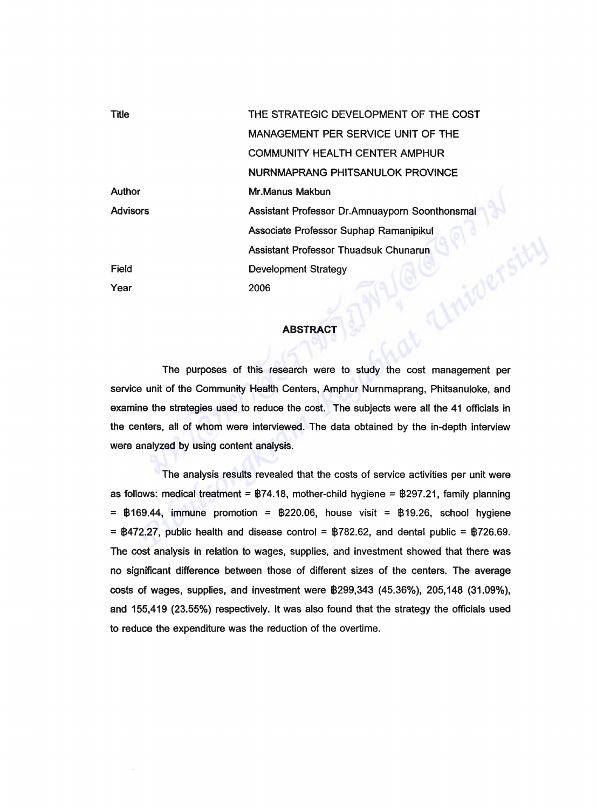| <b>Title</b>    | THE STRATEGIC DEVELOPMENT OF THE COST          |
|-----------------|------------------------------------------------|
|                 | MANAGEMENT PER SERVICE UNIT OF THE             |
|                 | <b>COMMUNITY HEALTH CENTER AMPHUR</b>          |
|                 | NURNMAPRANG PHITSANULOK PROVINCE               |
| <b>Author</b>   | Mr.Manus Makbun                                |
| <b>Advisors</b> | Assistant Professor Dr.Amnuayporn Soonthonsmai |
|                 | Associate Professor Suphap Ramanipikul         |
|                 | <b>Assistant Professor Thuadsuk Chunarun</b>   |
| Field           | <b>Development Strategy</b>                    |
| Year            | 2006                                           |

## **ABSTRACT**

The purposes of this research were to study the cost management per service unit of the Community Health Centers, Amphur Nurnmaprang, Phitsanuloke, and examine the strategies used to reduce the cost. The subjects were all the 41 officials in the centers, all of whom were interviewed. The data obtained by the in-depth interview were analyzed by using content analysis.

The analysis results revealed that the costs of service activities per unit were as follows: medical treatment =  $\frac{B74.18}{B74.18}$ , mother-child hygiene =  $\frac{B297.21}{B74.18}$ , family planning  $=$  \$169.44, immune promotion = \$220.06, house visit = \$19.26, school hygiene  $=$   $\frac{1}{2}$   $\frac{1}{2}$ , public health and disease control =  $\frac{1}{2}$  782.62, and dental public =  $\frac{1}{2}$  726.69. The cost analysis in relation to wages, supplies, and investment showed that there was no significant difference between those of different sizes of the centers. The average costs of wages, supplies, and investment were \$299,343 (45.36%), 205,148 (31.09%), and 155,419 (23.55%) respectively. It was also found that the strategy the officials used to reduce the expenditure was the reduction of the overtime.